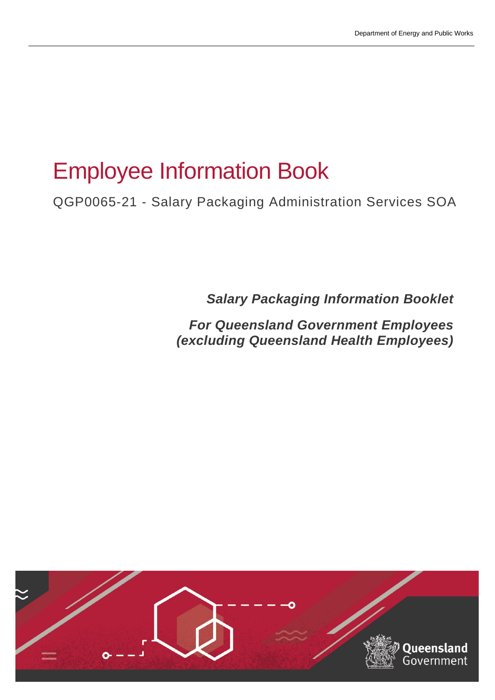# Employee Information Book

QGP0065-21 - Salary Packaging Administration Services SOA

*Salary Packaging Information Booklet* 

*For Queensland Government Employees (excluding Queensland Health Employees)*

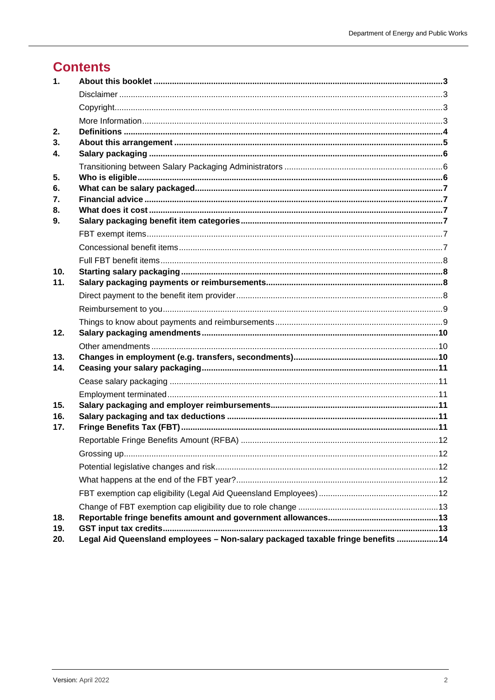### **Contents**

| $\mathbf{1}$ .  |                                                                                 |  |
|-----------------|---------------------------------------------------------------------------------|--|
|                 |                                                                                 |  |
|                 |                                                                                 |  |
|                 |                                                                                 |  |
| 2.              |                                                                                 |  |
| 3 <sub>1</sub>  |                                                                                 |  |
| 4.              |                                                                                 |  |
|                 |                                                                                 |  |
| 5.              |                                                                                 |  |
| 6.              |                                                                                 |  |
| 7.<br>8.        |                                                                                 |  |
| 9.              |                                                                                 |  |
|                 |                                                                                 |  |
|                 |                                                                                 |  |
|                 |                                                                                 |  |
| 10 <sub>1</sub> |                                                                                 |  |
| 11.             |                                                                                 |  |
|                 |                                                                                 |  |
|                 |                                                                                 |  |
|                 |                                                                                 |  |
| 12.             |                                                                                 |  |
|                 |                                                                                 |  |
| 13.             |                                                                                 |  |
| 14.             |                                                                                 |  |
|                 |                                                                                 |  |
| 15.             |                                                                                 |  |
| 16.             |                                                                                 |  |
| 17.             |                                                                                 |  |
|                 |                                                                                 |  |
|                 |                                                                                 |  |
|                 |                                                                                 |  |
|                 |                                                                                 |  |
|                 |                                                                                 |  |
|                 |                                                                                 |  |
| 18.             |                                                                                 |  |
| 19.             |                                                                                 |  |
| 20.             | Legal Aid Queensland employees - Non-salary packaged taxable fringe benefits 14 |  |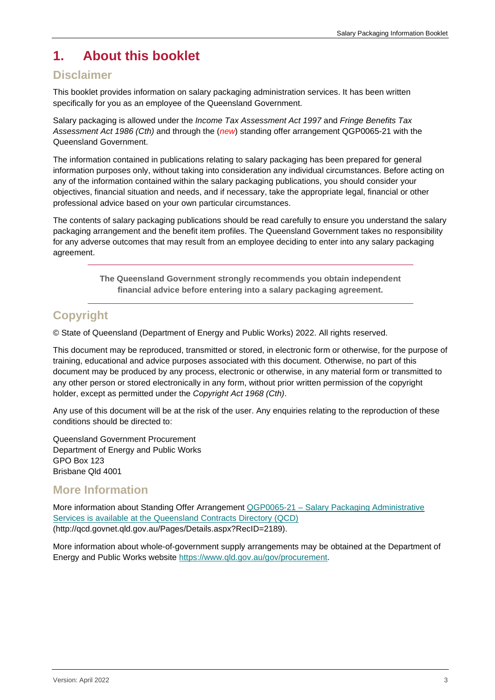### <span id="page-2-0"></span>**1. About this booklet**

#### <span id="page-2-1"></span>**Disclaimer**

This booklet provides information on salary packaging administration services. It has been written specifically for you as an employee of the Queensland Government.

Salary packaging is allowed under the *Income Tax Assessment Act 1997* and *Fringe Benefits Tax Assessment Act 1986 (Cth)* and through the (*new*) standing offer arrangement QGP0065-21 with the Queensland Government.

The information contained in publications relating to salary packaging has been prepared for general information purposes only, without taking into consideration any individual circumstances. Before acting on any of the information contained within the salary packaging publications, you should consider your objectives, financial situation and needs, and if necessary, take the appropriate legal, financial or other professional advice based on your own particular circumstances.

The contents of salary packaging publications should be read carefully to ensure you understand the salary packaging arrangement and the benefit item profiles. The Queensland Government takes no responsibility for any adverse outcomes that may result from an employee deciding to enter into any salary packaging agreement.

> **The Queensland Government strongly recommends you obtain independent financial advice before entering into a salary packaging agreement.**

### <span id="page-2-2"></span>**Copyright**

© State of Queensland (Department of Energy and Public Works) 2022. All rights reserved.

This document may be reproduced, transmitted or stored, in electronic form or otherwise, for the purpose of training, educational and advice purposes associated with this document. Otherwise, no part of this document may be produced by any process, electronic or otherwise, in any material form or transmitted to any other person or stored electronically in any form, without prior written permission of the copyright holder, except as permitted under the *Copyright Act 1968 (Cth)*.

Any use of this document will be at the risk of the user. Any enquiries relating to the reproduction of these conditions should be directed to:

Queensland Government Procurement Department of Energy and Public Works GPO Box 123 Brisbane Qld 4001

#### <span id="page-2-3"></span>**More Information**

More information about Standing Offer Arrangement QGP0065-21 – [Salary Packaging Administrative](http://qcd.govnet.qld.gov.au/Pages/Details.aspx?RecID=2189)  [Services is available at the Queensland Contracts Directory \(QCD\)](http://qcd.govnet.qld.gov.au/Pages/Details.aspx?RecID=2189) (http://qcd.govnet.qld.gov.au/Pages/Details.aspx?RecID=2189).

More information about whole-of-government supply arrangements may be obtained at the Department of Energy and Public Works website [https://www.qld.gov.au/gov/procurement.](https://www.qld.gov.au/gov/procurement)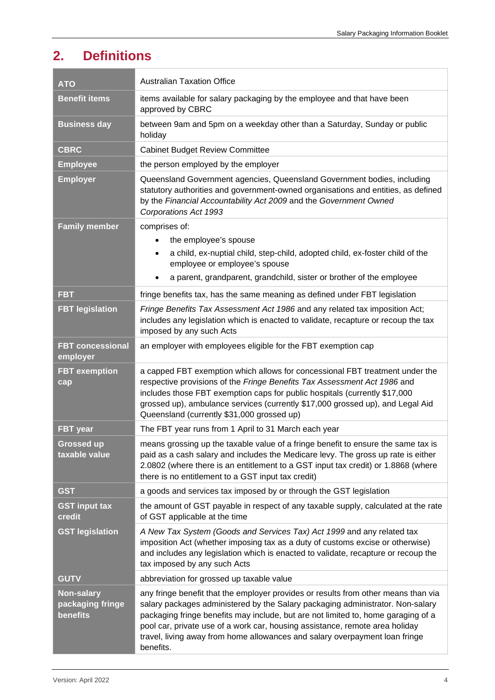# <span id="page-3-0"></span>**2. Definitions**

| <b>ATO</b>                                        | <b>Australian Taxation Office</b>                                                                                                                                                                                                                                                                                                                                                                                                     |
|---------------------------------------------------|---------------------------------------------------------------------------------------------------------------------------------------------------------------------------------------------------------------------------------------------------------------------------------------------------------------------------------------------------------------------------------------------------------------------------------------|
| <b>Benefit items</b>                              | items available for salary packaging by the employee and that have been<br>approved by CBRC                                                                                                                                                                                                                                                                                                                                           |
| <b>Business day</b>                               | between 9am and 5pm on a weekday other than a Saturday, Sunday or public<br>holiday                                                                                                                                                                                                                                                                                                                                                   |
| <b>CBRC</b>                                       | <b>Cabinet Budget Review Committee</b>                                                                                                                                                                                                                                                                                                                                                                                                |
| <b>Employee</b>                                   | the person employed by the employer                                                                                                                                                                                                                                                                                                                                                                                                   |
| <b>Employer</b>                                   | Queensland Government agencies, Queensland Government bodies, including<br>statutory authorities and government-owned organisations and entities, as defined<br>by the Financial Accountability Act 2009 and the Government Owned<br>Corporations Act 1993                                                                                                                                                                            |
| <b>Family member</b>                              | comprises of:                                                                                                                                                                                                                                                                                                                                                                                                                         |
|                                                   | the employee's spouse<br>$\bullet$                                                                                                                                                                                                                                                                                                                                                                                                    |
|                                                   | a child, ex-nuptial child, step-child, adopted child, ex-foster child of the<br>$\bullet$<br>employee or employee's spouse                                                                                                                                                                                                                                                                                                            |
|                                                   | a parent, grandparent, grandchild, sister or brother of the employee<br>٠                                                                                                                                                                                                                                                                                                                                                             |
| <b>FBT</b>                                        | fringe benefits tax, has the same meaning as defined under FBT legislation                                                                                                                                                                                                                                                                                                                                                            |
| <b>FBT legislation</b>                            | Fringe Benefits Tax Assessment Act 1986 and any related tax imposition Act;<br>includes any legislation which is enacted to validate, recapture or recoup the tax<br>imposed by any such Acts                                                                                                                                                                                                                                         |
| <b>FBT concessional</b><br>employer               | an employer with employees eligible for the FBT exemption cap                                                                                                                                                                                                                                                                                                                                                                         |
| <b>FBT</b> exemption<br>cap                       | a capped FBT exemption which allows for concessional FBT treatment under the<br>respective provisions of the Fringe Benefits Tax Assessment Act 1986 and<br>includes those FBT exemption caps for public hospitals (currently \$17,000<br>grossed up), ambulance services (currently \$17,000 grossed up), and Legal Aid<br>Queensland (currently \$31,000 grossed up)                                                                |
| <b>FBT</b> year                                   | The FBT year runs from 1 April to 31 March each year                                                                                                                                                                                                                                                                                                                                                                                  |
| <b>Grossed up</b><br>taxable value                | means grossing up the taxable value of a fringe benefit to ensure the same tax is<br>paid as a cash salary and includes the Medicare levy. The gross up rate is either<br>2.0802 (where there is an entitlement to a GST input tax credit) or 1.8868 (where<br>there is no entitlement to a GST input tax credit)                                                                                                                     |
| <b>GST</b>                                        | a goods and services tax imposed by or through the GST legislation                                                                                                                                                                                                                                                                                                                                                                    |
| <b>GST input tax</b><br>credit                    | the amount of GST payable in respect of any taxable supply, calculated at the rate<br>of GST applicable at the time                                                                                                                                                                                                                                                                                                                   |
| <b>GST legislation</b>                            | A New Tax System (Goods and Services Tax) Act 1999 and any related tax<br>imposition Act (whether imposing tax as a duty of customs excise or otherwise)<br>and includes any legislation which is enacted to validate, recapture or recoup the<br>tax imposed by any such Acts                                                                                                                                                        |
| <b>GUTV</b>                                       | abbreviation for grossed up taxable value                                                                                                                                                                                                                                                                                                                                                                                             |
| <b>Non-salary</b><br>packaging fringe<br>benefits | any fringe benefit that the employer provides or results from other means than via<br>salary packages administered by the Salary packaging administrator. Non-salary<br>packaging fringe benefits may include, but are not limited to, home garaging of a<br>pool car, private use of a work car, housing assistance, remote area holiday<br>travel, living away from home allowances and salary overpayment loan fringe<br>benefits. |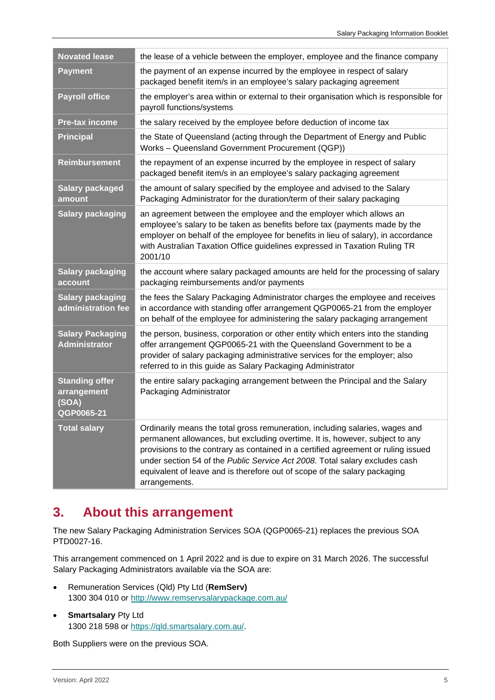| the lease of a vehicle between the employer, employee and the finance company                                                                                                                                                                                                                                                                                                                                                  |
|--------------------------------------------------------------------------------------------------------------------------------------------------------------------------------------------------------------------------------------------------------------------------------------------------------------------------------------------------------------------------------------------------------------------------------|
| the payment of an expense incurred by the employee in respect of salary<br>packaged benefit item/s in an employee's salary packaging agreement                                                                                                                                                                                                                                                                                 |
| the employer's area within or external to their organisation which is responsible for<br>payroll functions/systems                                                                                                                                                                                                                                                                                                             |
| the salary received by the employee before deduction of income tax                                                                                                                                                                                                                                                                                                                                                             |
| the State of Queensland (acting through the Department of Energy and Public<br>Works - Queensland Government Procurement (QGP))                                                                                                                                                                                                                                                                                                |
| the repayment of an expense incurred by the employee in respect of salary<br>packaged benefit item/s in an employee's salary packaging agreement                                                                                                                                                                                                                                                                               |
| the amount of salary specified by the employee and advised to the Salary<br>Packaging Administrator for the duration/term of their salary packaging                                                                                                                                                                                                                                                                            |
| an agreement between the employee and the employer which allows an<br>employee's salary to be taken as benefits before tax (payments made by the<br>employer on behalf of the employee for benefits in lieu of salary), in accordance<br>with Australian Taxation Office guidelines expressed in Taxation Ruling TR<br>2001/10                                                                                                 |
| the account where salary packaged amounts are held for the processing of salary<br>packaging reimbursements and/or payments                                                                                                                                                                                                                                                                                                    |
| the fees the Salary Packaging Administrator charges the employee and receives<br>in accordance with standing offer arrangement QGP0065-21 from the employer<br>on behalf of the employee for administering the salary packaging arrangement                                                                                                                                                                                    |
| the person, business, corporation or other entity which enters into the standing<br>offer arrangement QGP0065-21 with the Queensland Government to be a<br>provider of salary packaging administrative services for the employer; also<br>referred to in this guide as Salary Packaging Administrator                                                                                                                          |
| the entire salary packaging arrangement between the Principal and the Salary<br>Packaging Administrator                                                                                                                                                                                                                                                                                                                        |
| Ordinarily means the total gross remuneration, including salaries, wages and<br>permanent allowances, but excluding overtime. It is, however, subject to any<br>provisions to the contrary as contained in a certified agreement or ruling issued<br>under section 54 of the Public Service Act 2008. Total salary excludes cash<br>equivalent of leave and is therefore out of scope of the salary packaging<br>arrangements. |
|                                                                                                                                                                                                                                                                                                                                                                                                                                |

### <span id="page-4-0"></span>**3. About this arrangement**

The new Salary Packaging Administration Services SOA (QGP0065-21) replaces the previous SOA PTD0027-16.

This arrangement commenced on 1 April 2022 and is due to expire on 31 March 2026. The successful Salary Packaging Administrators available via the SOA are:

- Remuneration Services (Qld) Pty Ltd (**RemServ)** 1300 304 010 or<http://www.remservsalarypackage.com.au/>
- **Smartsalary** Pty Ltd 1300 218 598 or [https://qld.smartsalary.com.au/.](https://qld.smartsalary.com.au/)

Both Suppliers were on the previous SOA.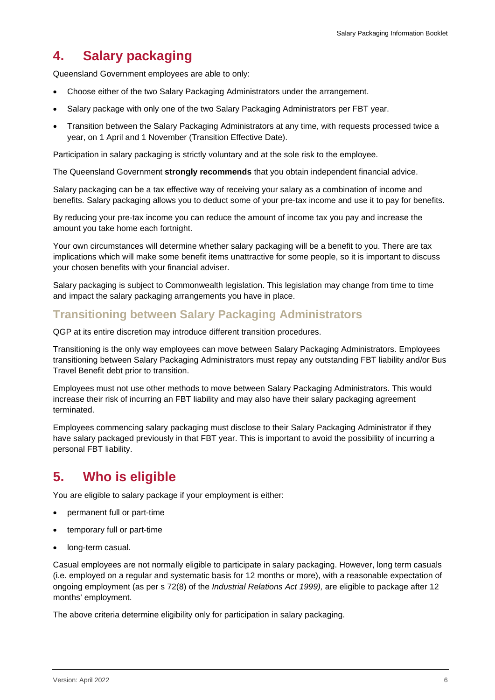### <span id="page-5-0"></span>**4. Salary packaging**

Queensland Government employees are able to only:

- Choose either of the two Salary Packaging Administrators under the arrangement.
- Salary package with only one of the two Salary Packaging Administrators per FBT year.
- Transition between the Salary Packaging Administrators at any time, with requests processed twice a year, on 1 April and 1 November (Transition Effective Date).

Participation in salary packaging is strictly voluntary and at the sole risk to the employee.

The Queensland Government **strongly recommends** that you obtain independent financial advice.

Salary packaging can be a tax effective way of receiving your salary as a combination of income and benefits. Salary packaging allows you to deduct some of your pre-tax income and use it to pay for benefits.

By reducing your pre-tax income you can reduce the amount of income tax you pay and increase the amount you take home each fortnight.

Your own circumstances will determine whether salary packaging will be a benefit to you. There are tax implications which will make some benefit items unattractive for some people, so it is important to discuss your chosen benefits with your financial adviser.

Salary packaging is subject to Commonwealth legislation. This legislation may change from time to time and impact the salary packaging arrangements you have in place.

#### <span id="page-5-1"></span>**Transitioning between Salary Packaging Administrators**

QGP at its entire discretion may introduce different transition procedures.

Transitioning is the only way employees can move between Salary Packaging Administrators. Employees transitioning between Salary Packaging Administrators must repay any outstanding FBT liability and/or Bus Travel Benefit debt prior to transition.

Employees must not use other methods to move between Salary Packaging Administrators. This would increase their risk of incurring an FBT liability and may also have their salary packaging agreement terminated.

Employees commencing salary packaging must disclose to their Salary Packaging Administrator if they have salary packaged previously in that FBT year. This is important to avoid the possibility of incurring a personal FBT liability.

### <span id="page-5-2"></span>**5. Who is eligible**

You are eligible to salary package if your employment is either:

- permanent full or part-time
- temporary full or part-time
- long-term casual.

Casual employees are not normally eligible to participate in salary packaging. However, long term casuals (i.e. employed on a regular and systematic basis for 12 months or more), with a reasonable expectation of ongoing employment (as per s 72(8) of the *Industrial Relations Act 1999),* are eligible to package after 12 months' employment.

The above criteria determine eligibility only for participation in salary packaging.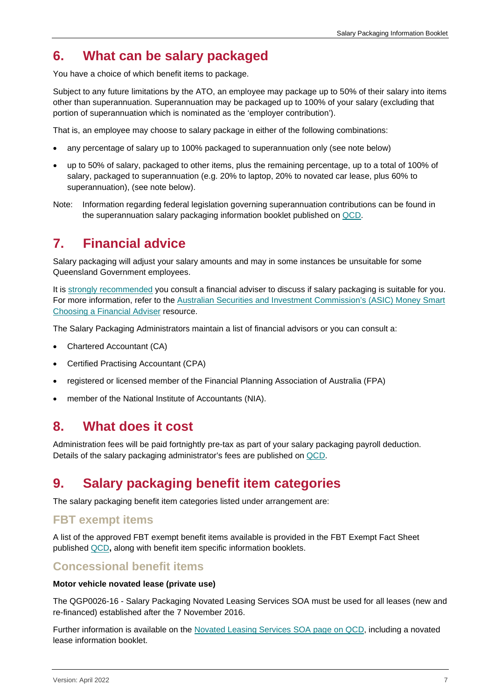### <span id="page-6-0"></span>**6. What can be salary packaged**

You have a choice of which benefit items to package.

Subject to any future limitations by the ATO, an employee may package up to 50% of their salary into items other than superannuation. Superannuation may be packaged up to 100% of your salary (excluding that portion of superannuation which is nominated as the 'employer contribution').

That is, an employee may choose to salary package in either of the following combinations:

- any percentage of salary up to 100% packaged to superannuation only (see note below)
- up to 50% of salary, packaged to other items, plus the remaining percentage, up to a total of 100% of salary, packaged to superannuation (e.g. 20% to laptop, 20% to novated car lease, plus 60% to superannuation), (see note below).
- Note: Information regarding federal legislation governing superannuation contributions can be found in the superannuation salary packaging information booklet published on [QCD.](http://qcd.govnet.qld.gov.au/Pages/Details.aspx?RecID=2189)

### <span id="page-6-1"></span>**7. Financial advice**

Salary packaging will adjust your salary amounts and may in some instances be unsuitable for some Queensland Government employees.

It is strongly recommended you consult a financial adviser to discuss if salary packaging is suitable for you. For more information, refer to the [Australian Securities and Investment Commission's](https://www.moneysmart.gov.au/investing/financial-advice/choosing-a-financial-adviser) (ASIC) Money Smart [Choosing a Financial Adviser](https://www.moneysmart.gov.au/investing/financial-advice/choosing-a-financial-adviser) resource.

The Salary Packaging Administrators maintain a list of financial advisors or you can consult a:

- Chartered Accountant (CA)
- Certified Practising Accountant (CPA)
- registered or licensed member of the Financial Planning Association of Australia (FPA)
- member of the National Institute of Accountants (NIA).

#### <span id="page-6-2"></span>**8. What does it cost**

Administration fees will be paid fortnightly pre-tax as part of your salary packaging payroll deduction. Details of the salary packaging administrator's fees are published on [QCD.](http://qcd.govnet.qld.gov.au/Pages/Details.aspx?RecID=2189)

### <span id="page-6-3"></span>**9. Salary packaging benefit item categories**

The salary packaging benefit item categories listed under arrangement are:

#### <span id="page-6-4"></span>**FBT exempt items**

A list of the approved FBT exempt benefit items available is provided in the FBT Exempt Fact Sheet published [QCD](http://qcd.govnet.qld.gov.au/Pages/Details.aspx?RecID=2189)**,** along with benefit item specific information booklets.

#### <span id="page-6-5"></span>**Concessional benefit items**

#### **Motor vehicle novated lease (private use)**

The QGP0026-16 - Salary Packaging Novated Leasing Services SOA must be used for all leases (new and re-financed) established after the 7 November 2016.

Further information is available on the [Novated Leasing Services SOA page on QCD,](http://qcd.govnet.qld.gov.au/Pages/Details.aspx?RecID=1753) including a novated lease information booklet.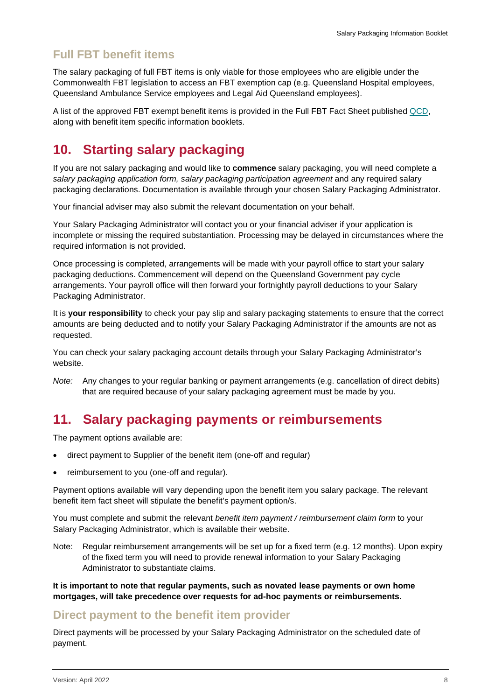#### <span id="page-7-0"></span>**Full FBT benefit items**

The salary packaging of full FBT items is only viable for those employees who are eligible under the Commonwealth FBT legislation to access an FBT exemption cap (e.g. Queensland Hospital employees, Queensland Ambulance Service employees and Legal Aid Queensland employees).

A list of the approved FBT exempt benefit items is provided in the Full FBT Fact Sheet published [QCD,](http://qcd.govnet.qld.gov.au/Pages/Details.aspx?RecID=2189) along with benefit item specific information booklets.

# <span id="page-7-1"></span>**10. Starting salary packaging**

If you are not salary packaging and would like to **commence** salary packaging, you will need complete a *salary packaging application form, salary packaging participation agreement* and any required salary packaging declarations. Documentation is available through your chosen Salary Packaging Administrator.

Your financial adviser may also submit the relevant documentation on your behalf.

Your Salary Packaging Administrator will contact you or your financial adviser if your application is incomplete or missing the required substantiation. Processing may be delayed in circumstances where the required information is not provided.

Once processing is completed, arrangements will be made with your payroll office to start your salary packaging deductions. Commencement will depend on the Queensland Government pay cycle arrangements. Your payroll office will then forward your fortnightly payroll deductions to your Salary Packaging Administrator.

It is **your responsibility** to check your pay slip and salary packaging statements to ensure that the correct amounts are being deducted and to notify your Salary Packaging Administrator if the amounts are not as requested.

You can check your salary packaging account details through your Salary Packaging Administrator's website.

*Note:* Any changes to your regular banking or payment arrangements (e.g. cancellation of direct debits) that are required because of your salary packaging agreement must be made by you.

### <span id="page-7-2"></span>**11. Salary packaging payments or reimbursements**

The payment options available are:

- direct payment to Supplier of the benefit item (one-off and regular)
- reimbursement to you (one-off and regular).

Payment options available will vary depending upon the benefit item you salary package. The relevant benefit item fact sheet will stipulate the benefit's payment option/s.

You must complete and submit the relevant *benefit item payment / reimbursement claim form* to your Salary Packaging Administrator, which is available their website.

Note: Regular reimbursement arrangements will be set up for a fixed term (e.g. 12 months). Upon expiry of the fixed term you will need to provide renewal information to your Salary Packaging Administrator to substantiate claims.

**It is important to note that regular payments, such as novated lease payments or own home mortgages, will take precedence over requests for ad-hoc payments or reimbursements.**

#### <span id="page-7-3"></span>**Direct payment to the benefit item provider**

Direct payments will be processed by your Salary Packaging Administrator on the scheduled date of payment.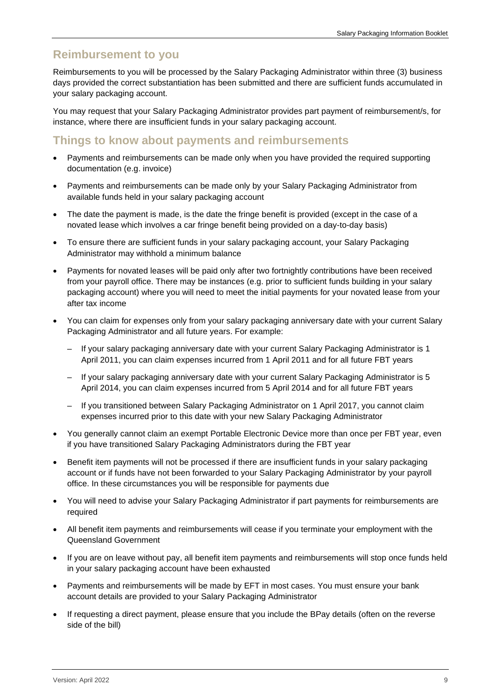#### <span id="page-8-0"></span>**Reimbursement to you**

Reimbursements to you will be processed by the Salary Packaging Administrator within three (3) business days provided the correct substantiation has been submitted and there are sufficient funds accumulated in your salary packaging account.

You may request that your Salary Packaging Administrator provides part payment of reimbursement/s, for instance, where there are insufficient funds in your salary packaging account.

#### <span id="page-8-1"></span>**Things to know about payments and reimbursements**

- Payments and reimbursements can be made only when you have provided the required supporting documentation (e.g. invoice)
- Payments and reimbursements can be made only by your Salary Packaging Administrator from available funds held in your salary packaging account
- The date the payment is made, is the date the fringe benefit is provided (except in the case of a novated lease which involves a car fringe benefit being provided on a day-to-day basis)
- To ensure there are sufficient funds in your salary packaging account, your Salary Packaging Administrator may withhold a minimum balance
- Payments for novated leases will be paid only after two fortnightly contributions have been received from your payroll office. There may be instances (e.g. prior to sufficient funds building in your salary packaging account) where you will need to meet the initial payments for your novated lease from your after tax income
- You can claim for expenses only from your salary packaging anniversary date with your current Salary Packaging Administrator and all future years. For example:
	- If your salary packaging anniversary date with your current Salary Packaging Administrator is 1 April 2011, you can claim expenses incurred from 1 April 2011 and for all future FBT years
	- If your salary packaging anniversary date with your current Salary Packaging Administrator is 5 April 2014, you can claim expenses incurred from 5 April 2014 and for all future FBT years
	- If you transitioned between Salary Packaging Administrator on 1 April 2017, you cannot claim expenses incurred prior to this date with your new Salary Packaging Administrator
- You generally cannot claim an exempt Portable Electronic Device more than once per FBT year, even if you have transitioned Salary Packaging Administrators during the FBT year
- Benefit item payments will not be processed if there are insufficient funds in your salary packaging account or if funds have not been forwarded to your Salary Packaging Administrator by your payroll office. In these circumstances you will be responsible for payments due
- You will need to advise your Salary Packaging Administrator if part payments for reimbursements are required
- All benefit item payments and reimbursements will cease if you terminate your employment with the Queensland Government
- If you are on leave without pay, all benefit item payments and reimbursements will stop once funds held in your salary packaging account have been exhausted
- Payments and reimbursements will be made by EFT in most cases. You must ensure your bank account details are provided to your Salary Packaging Administrator
- If requesting a direct payment, please ensure that you include the BPay details (often on the reverse side of the bill)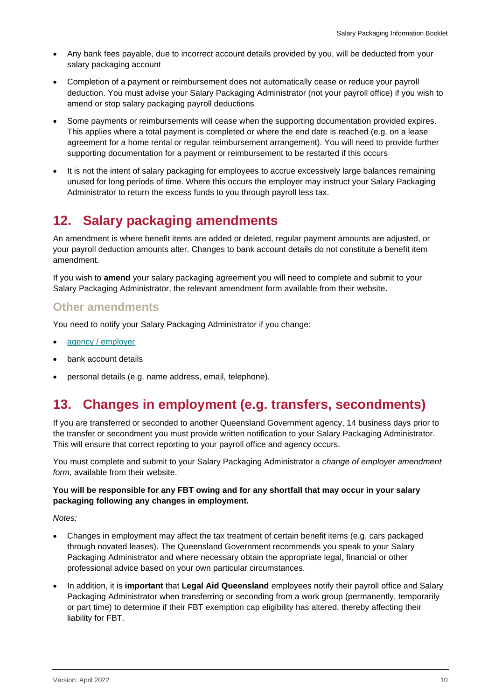- Any bank fees payable, due to incorrect account details provided by you, will be deducted from your salary packaging account
- Completion of a payment or reimbursement does not automatically cease or reduce your payroll deduction. You must advise your Salary Packaging Administrator (not your payroll office) if you wish to amend or stop salary packaging payroll deductions
- Some payments or reimbursements will cease when the supporting documentation provided expires. This applies where a total payment is completed or where the end date is reached (e.g. on a lease agreement for a home rental or regular reimbursement arrangement). You will need to provide further supporting documentation for a payment or reimbursement to be restarted if this occurs
- It is not the intent of salary packaging for employees to accrue excessively large balances remaining unused for long periods of time. Where this occurs the employer may instruct your Salary Packaging Administrator to return the excess funds to you through payroll less tax.

### <span id="page-9-0"></span>**12. Salary packaging amendments**

An amendment is where benefit items are added or deleted, regular payment amounts are adjusted, or your payroll deduction amounts alter. Changes to bank account details do not constitute a benefit item amendment.

If you wish to **amend** your salary packaging agreement you will need to complete and submit to your Salary Packaging Administrator, the relevant amendment form available from their website.

#### <span id="page-9-1"></span>**Other amendments**

You need to notify your Salary Packaging Administrator if you change:

- agency [/ employer](#page-9-2)
- bank account details
- personal details (e.g. name address, email, telephone).

### <span id="page-9-2"></span>**13. Changes in employment (e.g. transfers, secondments)**

If you are transferred or seconded to another Queensland Government agency, 14 business days prior to the transfer or secondment you must provide written notification to your Salary Packaging Administrator. This will ensure that correct reporting to your payroll office and agency occurs.

You must complete and submit to your Salary Packaging Administrator a *change of employer amendment form,* available from their website.

#### **You will be responsible for any FBT owing and for any shortfall that may occur in your salary packaging following any changes in employment.**

*Notes:* 

- Changes in employment may affect the tax treatment of certain benefit items (e.g. cars packaged through novated leases). The Queensland Government recommends you speak to your Salary Packaging Administrator and where necessary obtain the appropriate legal, financial or other professional advice based on your own particular circumstances.
- In addition, it is **important** that **Legal Aid Queensland** employees notify their payroll office and Salary Packaging Administrator when transferring or seconding from a work group (permanently, temporarily or part time) to determine if their FBT exemption cap eligibility has altered, thereby affecting their liability for FBT.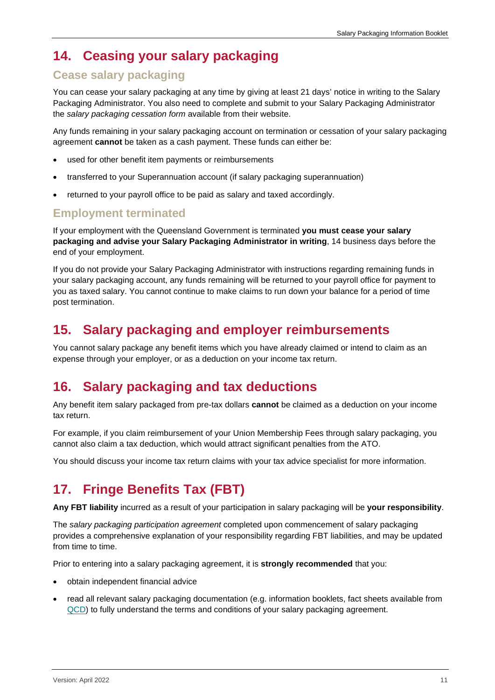# <span id="page-10-0"></span>**14. Ceasing your salary packaging**

#### <span id="page-10-1"></span>**Cease salary packaging**

You can cease your salary packaging at any time by giving at least 21 days' notice in writing to the Salary Packaging Administrator. You also need to complete and submit to your Salary Packaging Administrator the *salary packaging cessation form* available from their website.

Any funds remaining in your salary packaging account on termination or cessation of your salary packaging agreement **cannot** be taken as a cash payment. These funds can either be:

- used for other benefit item payments or reimbursements
- transferred to your Superannuation account (if salary packaging superannuation)
- returned to your payroll office to be paid as salary and taxed accordingly.

#### <span id="page-10-2"></span>**Employment terminated**

If your employment with the Queensland Government is terminated **you must cease your salary packaging and advise your Salary Packaging Administrator in writing**, 14 business days before the end of your employment.

If you do not provide your Salary Packaging Administrator with instructions regarding remaining funds in your salary packaging account, any funds remaining will be returned to your payroll office for payment to you as taxed salary. You cannot continue to make claims to run down your balance for a period of time post termination.

### <span id="page-10-3"></span>**15. Salary packaging and employer reimbursements**

You cannot salary package any benefit items which you have already claimed or intend to claim as an expense through your employer, or as a deduction on your income tax return.

### <span id="page-10-4"></span>**16. Salary packaging and tax deductions**

Any benefit item salary packaged from pre-tax dollars **cannot** be claimed as a deduction on your income tax return.

For example, if you claim reimbursement of your Union Membership Fees through salary packaging, you cannot also claim a tax deduction, which would attract significant penalties from the ATO.

You should discuss your income tax return claims with your tax advice specialist for more information.

### <span id="page-10-5"></span>**17. Fringe Benefits Tax (FBT)**

**Any FBT liability** incurred as a result of your participation in salary packaging will be **your responsibility**.

The *salary packaging participation agreement* completed upon commencement of salary packaging provides a comprehensive explanation of your responsibility regarding FBT liabilities, and may be updated from time to time.

Prior to entering into a salary packaging agreement, it is **strongly recommended** that you:

- obtain independent financial advice
- read all relevant salary packaging documentation (e.g. information booklets, fact sheets available from [QCD\)](http://qcd.govnet.qld.gov.au/Pages/Details.aspx?RecID=1696) to fully understand the terms and conditions of your salary packaging agreement.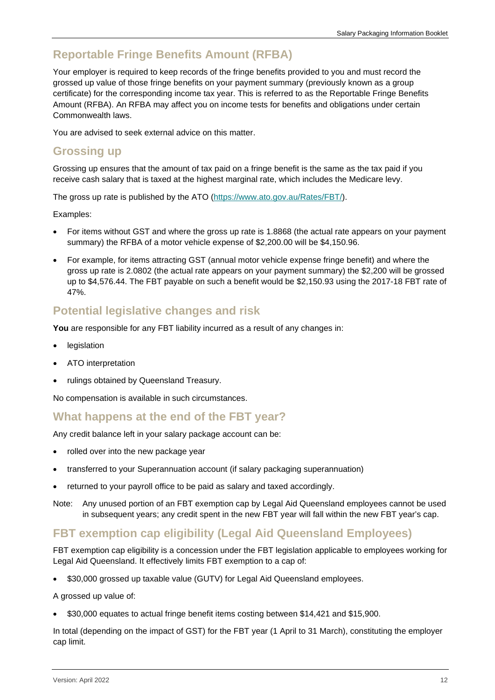### <span id="page-11-0"></span>**Reportable Fringe Benefits Amount (RFBA)**

Your employer is required to keep records of the fringe benefits provided to you and must record the grossed up value of those fringe benefits on your payment summary (previously known as a group certificate) for the corresponding income tax year. This is referred to as the Reportable Fringe Benefits Amount (RFBA). An RFBA may affect you on income tests for benefits and obligations under certain Commonwealth laws.

You are advised to seek external advice on this matter.

#### <span id="page-11-1"></span>**Grossing up**

Grossing up ensures that the amount of tax paid on a fringe benefit is the same as the tax paid if you receive cash salary that is taxed at the highest marginal rate, which includes the Medicare levy.

The gross up rate is published by the ATO [\(https://www.ato.gov.au/Rates/FBT/\)](https://www.ato.gov.au/Rates/FBT/).

Examples:

- For items without GST and where the gross up rate is 1.8868 (the actual rate appears on your payment summary) the RFBA of a motor vehicle expense of \$2,200.00 will be \$4,150.96.
- For example, for items attracting GST (annual motor vehicle expense fringe benefit) and where the gross up rate is 2.0802 (the actual rate appears on your payment summary) the \$2,200 will be grossed up to \$4,576.44. The FBT payable on such a benefit would be \$2,150.93 using the 2017-18 FBT rate of 47%.

#### <span id="page-11-2"></span>**Potential legislative changes and risk**

**You** are responsible for any FBT liability incurred as a result of any changes in:

- legislation
- ATO interpretation
- rulings obtained by Queensland Treasury.

No compensation is available in such circumstances.

#### <span id="page-11-3"></span>**What happens at the end of the FBT year?**

Any credit balance left in your salary package account can be:

- rolled over into the new package year
- transferred to your Superannuation account (if salary packaging superannuation)
- returned to your payroll office to be paid as salary and taxed accordingly.
- Note: Any unused portion of an FBT exemption cap by Legal Aid Queensland employees cannot be used in subsequent years; any credit spent in the new FBT year will fall within the new FBT year's cap.

#### <span id="page-11-4"></span>**FBT exemption cap eligibility (Legal Aid Queensland Employees)**

FBT exemption cap eligibility is a concession under the FBT legislation applicable to employees working for Legal Aid Queensland. It effectively limits FBT exemption to a cap of:

• \$30,000 grossed up taxable value (GUTV) for Legal Aid Queensland employees.

A grossed up value of:

• \$30,000 equates to actual fringe benefit items costing between \$14,421 and \$15,900.

In total (depending on the impact of GST) for the FBT year (1 April to 31 March), constituting the employer cap limit.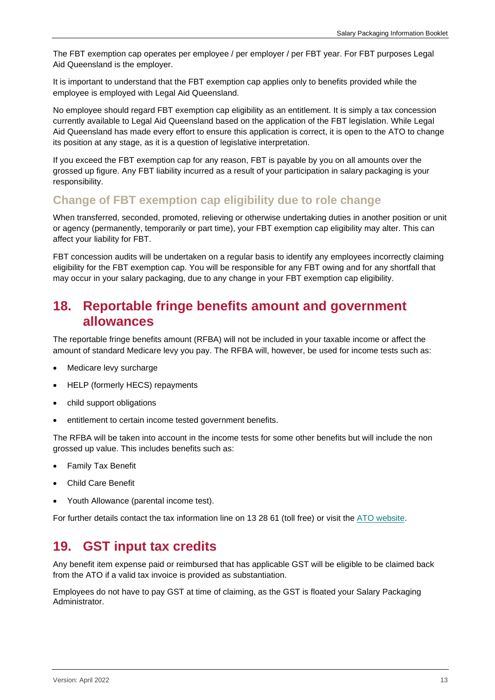The FBT exemption cap operates per employee / per employer / per FBT year. For FBT purposes Legal Aid Queensland is the employer.

It is important to understand that the FBT exemption cap applies only to benefits provided while the employee is employed with Legal Aid Queensland.

No employee should regard FBT exemption cap eligibility as an entitlement. It is simply a tax concession currently available to Legal Aid Queensland based on the application of the FBT legislation. While Legal Aid Queensland has made every effort to ensure this application is correct, it is open to the ATO to change its position at any stage, as it is a question of legislative interpretation.

If you exceed the FBT exemption cap for any reason, FBT is payable by you on all amounts over the grossed up figure. Any FBT liability incurred as a result of your participation in salary packaging is your responsibility.

#### <span id="page-12-0"></span>**Change of FBT exemption cap eligibility due to role change**

When transferred, seconded, promoted, relieving or otherwise undertaking duties in another position or unit or agency (permanently, temporarily or part time), your FBT exemption cap eligibility may alter. This can affect your liability for FBT.

FBT concession audits will be undertaken on a regular basis to identify any employees incorrectly claiming eligibility for the FBT exemption cap. You will be responsible for any FBT owing and for any shortfall that may occur in your salary packaging, due to any change in your FBT exemption cap eligibility.

### <span id="page-12-1"></span>**18. Reportable fringe benefits amount and government allowances**

The reportable fringe benefits amount (RFBA) will not be included in your taxable income or affect the amount of standard Medicare levy you pay. The RFBA will, however, be used for income tests such as:

- Medicare levy surcharge
- HELP (formerly HECS) repayments
- child support obligations
- entitlement to certain income tested government benefits.

The RFBA will be taken into account in the income tests for some other benefits but will include the non grossed up value. This includes benefits such as:

- Family Tax Benefit
- Child Care Benefit
- Youth Allowance (parental income test).

For further details contact the tax information line on 13 28 61 (toll free) or visit the [ATO website.](http://www.ato.gov.au/)

### <span id="page-12-2"></span>**19. GST input tax credits**

Any benefit item expense paid or reimbursed that has applicable GST will be eligible to be claimed back from the ATO if a valid tax invoice is provided as substantiation.

Employees do not have to pay GST at time of claiming, as the GST is floated your Salary Packaging Administrator.